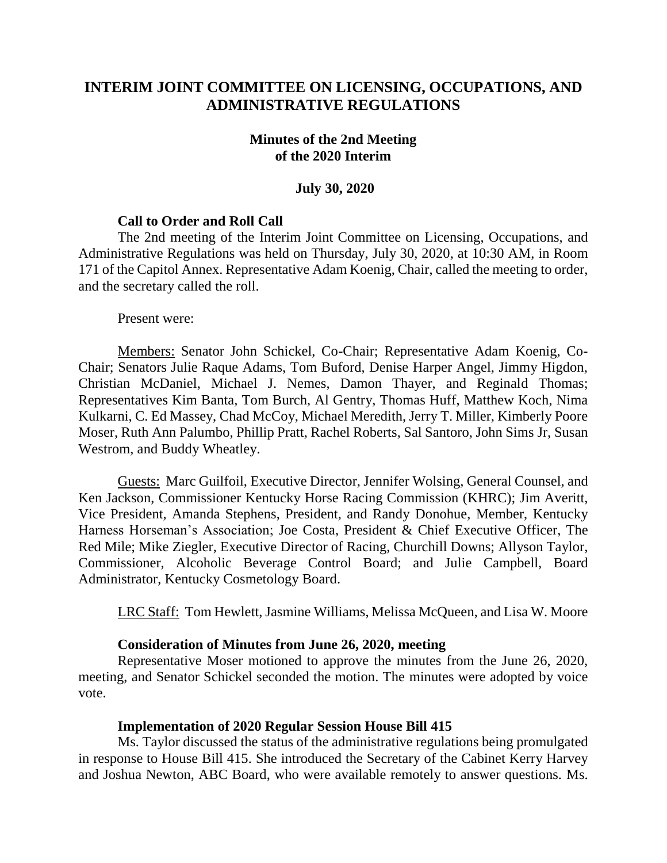# **INTERIM JOINT COMMITTEE ON LICENSING, OCCUPATIONS, AND ADMINISTRATIVE REGULATIONS**

#### **Minutes of the 2nd Meeting of the 2020 Interim**

#### **July 30, 2020**

### **Call to Order and Roll Call**

The 2nd meeting of the Interim Joint Committee on Licensing, Occupations, and Administrative Regulations was held on Thursday, July 30, 2020, at 10:30 AM, in Room 171 of the Capitol Annex. Representative Adam Koenig, Chair, called the meeting to order, and the secretary called the roll.

Present were:

Members: Senator John Schickel, Co-Chair; Representative Adam Koenig, Co-Chair; Senators Julie Raque Adams, Tom Buford, Denise Harper Angel, Jimmy Higdon, Christian McDaniel, Michael J. Nemes, Damon Thayer, and Reginald Thomas; Representatives Kim Banta, Tom Burch, Al Gentry, Thomas Huff, Matthew Koch, Nima Kulkarni, C. Ed Massey, Chad McCoy, Michael Meredith, Jerry T. Miller, Kimberly Poore Moser, Ruth Ann Palumbo, Phillip Pratt, Rachel Roberts, Sal Santoro, John Sims Jr, Susan Westrom, and Buddy Wheatley.

Guests: Marc Guilfoil, Executive Director, Jennifer Wolsing, General Counsel, and Ken Jackson, Commissioner Kentucky Horse Racing Commission (KHRC); Jim Averitt, Vice President, Amanda Stephens, President, and Randy Donohue, Member, Kentucky Harness Horseman's Association; Joe Costa, President & Chief Executive Officer, The Red Mile; Mike Ziegler, Executive Director of Racing, Churchill Downs; Allyson Taylor, Commissioner, Alcoholic Beverage Control Board; and Julie Campbell, Board Administrator, Kentucky Cosmetology Board.

LRC Staff: Tom Hewlett, Jasmine Williams, Melissa McQueen, and Lisa W. Moore

#### **Consideration of Minutes from June 26, 2020, meeting**

Representative Moser motioned to approve the minutes from the June 26, 2020, meeting, and Senator Schickel seconded the motion. The minutes were adopted by voice vote.

#### **Implementation of 2020 Regular Session House Bill 415**

Ms. Taylor discussed the status of the administrative regulations being promulgated in response to House Bill 415. She introduced the Secretary of the Cabinet Kerry Harvey and Joshua Newton, ABC Board, who were available remotely to answer questions. Ms.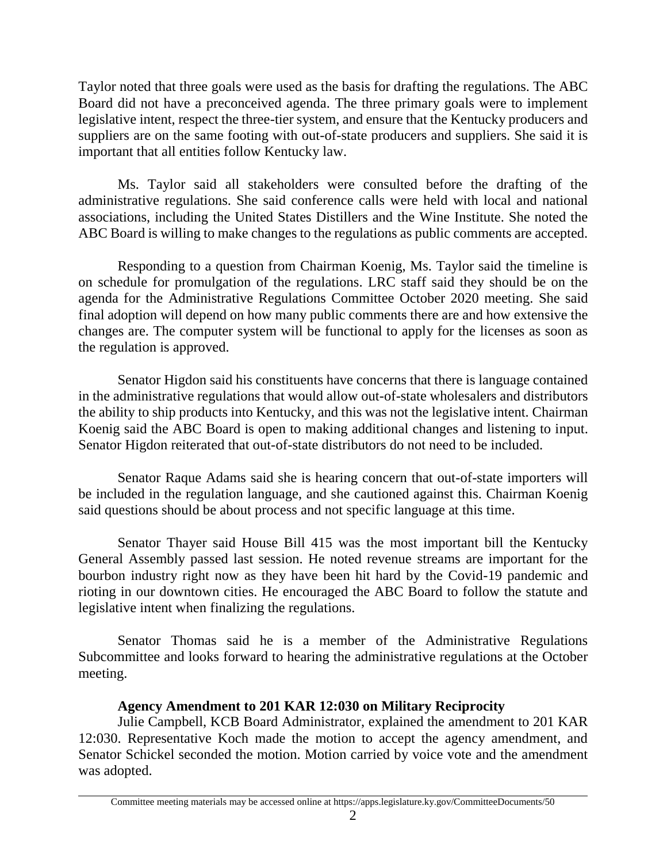Taylor noted that three goals were used as the basis for drafting the regulations. The ABC Board did not have a preconceived agenda. The three primary goals were to implement legislative intent, respect the three-tier system, and ensure that the Kentucky producers and suppliers are on the same footing with out-of-state producers and suppliers. She said it is important that all entities follow Kentucky law.

Ms. Taylor said all stakeholders were consulted before the drafting of the administrative regulations. She said conference calls were held with local and national associations, including the United States Distillers and the Wine Institute. She noted the ABC Board is willing to make changes to the regulations as public comments are accepted.

Responding to a question from Chairman Koenig, Ms. Taylor said the timeline is on schedule for promulgation of the regulations. LRC staff said they should be on the agenda for the Administrative Regulations Committee October 2020 meeting. She said final adoption will depend on how many public comments there are and how extensive the changes are. The computer system will be functional to apply for the licenses as soon as the regulation is approved.

Senator Higdon said his constituents have concerns that there is language contained in the administrative regulations that would allow out-of-state wholesalers and distributors the ability to ship products into Kentucky, and this was not the legislative intent. Chairman Koenig said the ABC Board is open to making additional changes and listening to input. Senator Higdon reiterated that out-of-state distributors do not need to be included.

Senator Raque Adams said she is hearing concern that out-of-state importers will be included in the regulation language, and she cautioned against this. Chairman Koenig said questions should be about process and not specific language at this time.

Senator Thayer said House Bill 415 was the most important bill the Kentucky General Assembly passed last session. He noted revenue streams are important for the bourbon industry right now as they have been hit hard by the Covid-19 pandemic and rioting in our downtown cities. He encouraged the ABC Board to follow the statute and legislative intent when finalizing the regulations.

Senator Thomas said he is a member of the Administrative Regulations Subcommittee and looks forward to hearing the administrative regulations at the October meeting.

## **Agency Amendment to 201 KAR 12:030 on Military Reciprocity**

Julie Campbell, KCB Board Administrator, explained the amendment to 201 KAR 12:030. Representative Koch made the motion to accept the agency amendment, and Senator Schickel seconded the motion. Motion carried by voice vote and the amendment was adopted.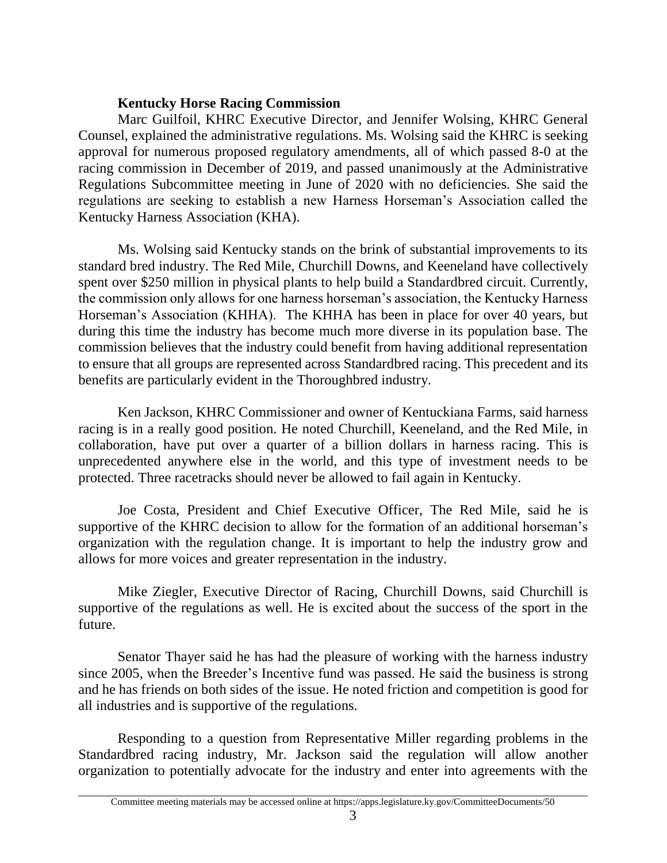## **Kentucky Horse Racing Commission**

Marc Guilfoil, KHRC Executive Director, and Jennifer Wolsing, KHRC General Counsel, explained the administrative regulations. Ms. Wolsing said the KHRC is seeking approval for numerous proposed regulatory amendments, all of which passed 8-0 at the racing commission in December of 2019, and passed unanimously at the Administrative Regulations Subcommittee meeting in June of 2020 with no deficiencies. She said the regulations are seeking to establish a new Harness Horseman's Association called the Kentucky Harness Association (KHA).

Ms. Wolsing said Kentucky stands on the brink of substantial improvements to its standard bred industry. The Red Mile, Churchill Downs, and Keeneland have collectively spent over \$250 million in physical plants to help build a Standardbred circuit. Currently, the commission only allows for one harness horseman's association, the Kentucky Harness Horseman's Association (KHHA). The KHHA has been in place for over 40 years, but during this time the industry has become much more diverse in its population base. The commission believes that the industry could benefit from having additional representation to ensure that all groups are represented across Standardbred racing. This precedent and its benefits are particularly evident in the Thoroughbred industry.

Ken Jackson, KHRC Commissioner and owner of Kentuckiana Farms, said harness racing is in a really good position. He noted Churchill, Keeneland, and the Red Mile, in collaboration, have put over a quarter of a billion dollars in harness racing. This is unprecedented anywhere else in the world, and this type of investment needs to be protected. Three racetracks should never be allowed to fail again in Kentucky.

Joe Costa, President and Chief Executive Officer, The Red Mile, said he is supportive of the KHRC decision to allow for the formation of an additional horseman's organization with the regulation change. It is important to help the industry grow and allows for more voices and greater representation in the industry.

Mike Ziegler, Executive Director of Racing, Churchill Downs, said Churchill is supportive of the regulations as well. He is excited about the success of the sport in the future.

Senator Thayer said he has had the pleasure of working with the harness industry since 2005, when the Breeder's Incentive fund was passed. He said the business is strong and he has friends on both sides of the issue. He noted friction and competition is good for all industries and is supportive of the regulations.

Responding to a question from Representative Miller regarding problems in the Standardbred racing industry, Mr. Jackson said the regulation will allow another organization to potentially advocate for the industry and enter into agreements with the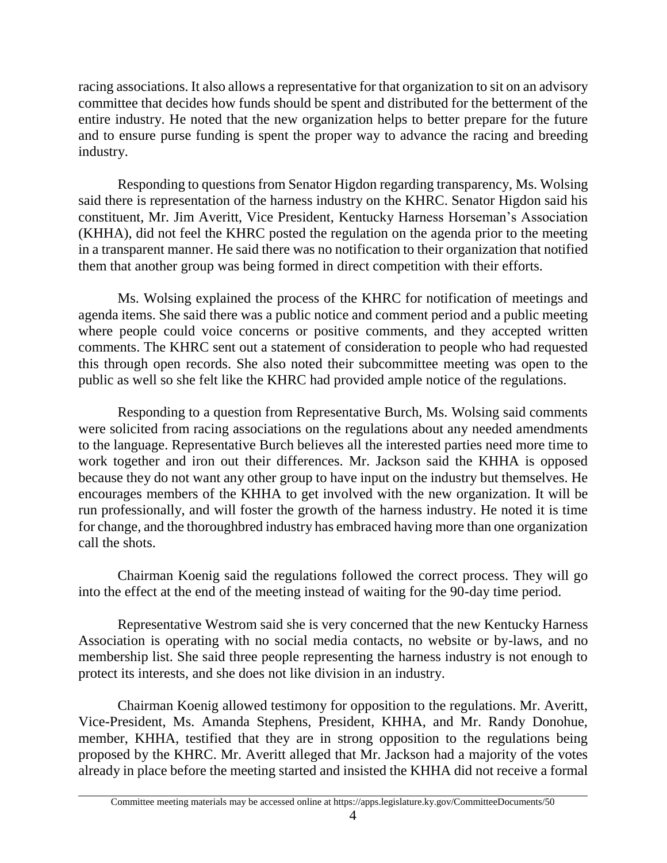racing associations. It also allows a representative for that organization to sit on an advisory committee that decides how funds should be spent and distributed for the betterment of the entire industry. He noted that the new organization helps to better prepare for the future and to ensure purse funding is spent the proper way to advance the racing and breeding industry.

Responding to questions from Senator Higdon regarding transparency, Ms. Wolsing said there is representation of the harness industry on the KHRC. Senator Higdon said his constituent, Mr. Jim Averitt, Vice President, Kentucky Harness Horseman's Association (KHHA), did not feel the KHRC posted the regulation on the agenda prior to the meeting in a transparent manner. He said there was no notification to their organization that notified them that another group was being formed in direct competition with their efforts.

Ms. Wolsing explained the process of the KHRC for notification of meetings and agenda items. She said there was a public notice and comment period and a public meeting where people could voice concerns or positive comments, and they accepted written comments. The KHRC sent out a statement of consideration to people who had requested this through open records. She also noted their subcommittee meeting was open to the public as well so she felt like the KHRC had provided ample notice of the regulations.

Responding to a question from Representative Burch, Ms. Wolsing said comments were solicited from racing associations on the regulations about any needed amendments to the language. Representative Burch believes all the interested parties need more time to work together and iron out their differences. Mr. Jackson said the KHHA is opposed because they do not want any other group to have input on the industry but themselves. He encourages members of the KHHA to get involved with the new organization. It will be run professionally, and will foster the growth of the harness industry. He noted it is time for change, and the thoroughbred industry has embraced having more than one organization call the shots.

Chairman Koenig said the regulations followed the correct process. They will go into the effect at the end of the meeting instead of waiting for the 90-day time period.

Representative Westrom said she is very concerned that the new Kentucky Harness Association is operating with no social media contacts, no website or by-laws, and no membership list. She said three people representing the harness industry is not enough to protect its interests, and she does not like division in an industry.

Chairman Koenig allowed testimony for opposition to the regulations. Mr. Averitt, Vice-President, Ms. Amanda Stephens, President, KHHA, and Mr. Randy Donohue, member, KHHA, testified that they are in strong opposition to the regulations being proposed by the KHRC. Mr. Averitt alleged that Mr. Jackson had a majority of the votes already in place before the meeting started and insisted the KHHA did not receive a formal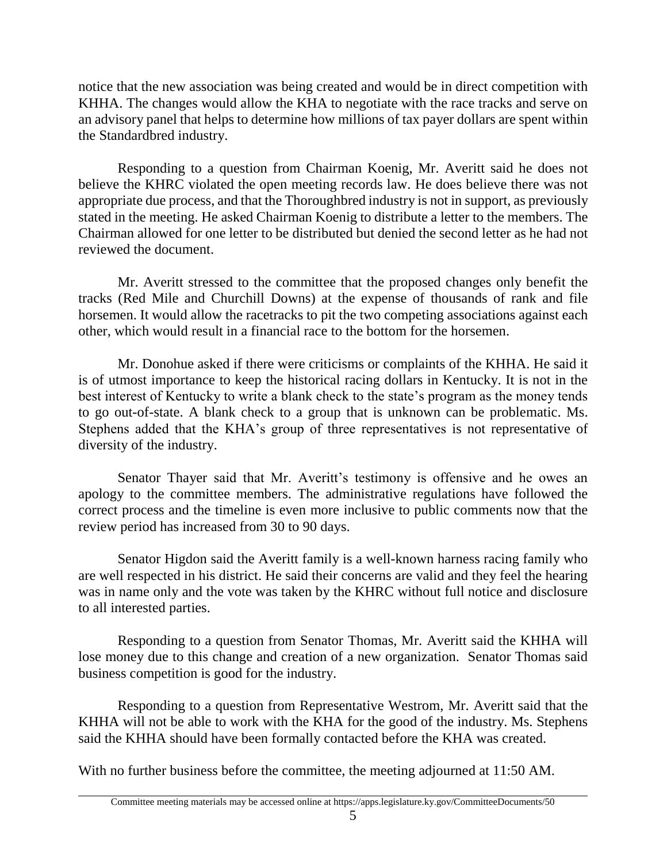notice that the new association was being created and would be in direct competition with KHHA. The changes would allow the KHA to negotiate with the race tracks and serve on an advisory panel that helps to determine how millions of tax payer dollars are spent within the Standardbred industry.

Responding to a question from Chairman Koenig, Mr. Averitt said he does not believe the KHRC violated the open meeting records law. He does believe there was not appropriate due process, and that the Thoroughbred industry is not in support, as previously stated in the meeting. He asked Chairman Koenig to distribute a letter to the members. The Chairman allowed for one letter to be distributed but denied the second letter as he had not reviewed the document.

Mr. Averitt stressed to the committee that the proposed changes only benefit the tracks (Red Mile and Churchill Downs) at the expense of thousands of rank and file horsemen. It would allow the racetracks to pit the two competing associations against each other, which would result in a financial race to the bottom for the horsemen.

Mr. Donohue asked if there were criticisms or complaints of the KHHA. He said it is of utmost importance to keep the historical racing dollars in Kentucky. It is not in the best interest of Kentucky to write a blank check to the state's program as the money tends to go out-of-state. A blank check to a group that is unknown can be problematic. Ms. Stephens added that the KHA's group of three representatives is not representative of diversity of the industry.

Senator Thayer said that Mr. Averitt's testimony is offensive and he owes an apology to the committee members. The administrative regulations have followed the correct process and the timeline is even more inclusive to public comments now that the review period has increased from 30 to 90 days.

Senator Higdon said the Averitt family is a well-known harness racing family who are well respected in his district. He said their concerns are valid and they feel the hearing was in name only and the vote was taken by the KHRC without full notice and disclosure to all interested parties.

Responding to a question from Senator Thomas, Mr. Averitt said the KHHA will lose money due to this change and creation of a new organization. Senator Thomas said business competition is good for the industry.

Responding to a question from Representative Westrom, Mr. Averitt said that the KHHA will not be able to work with the KHA for the good of the industry. Ms. Stephens said the KHHA should have been formally contacted before the KHA was created.

With no further business before the committee, the meeting adjourned at 11:50 AM.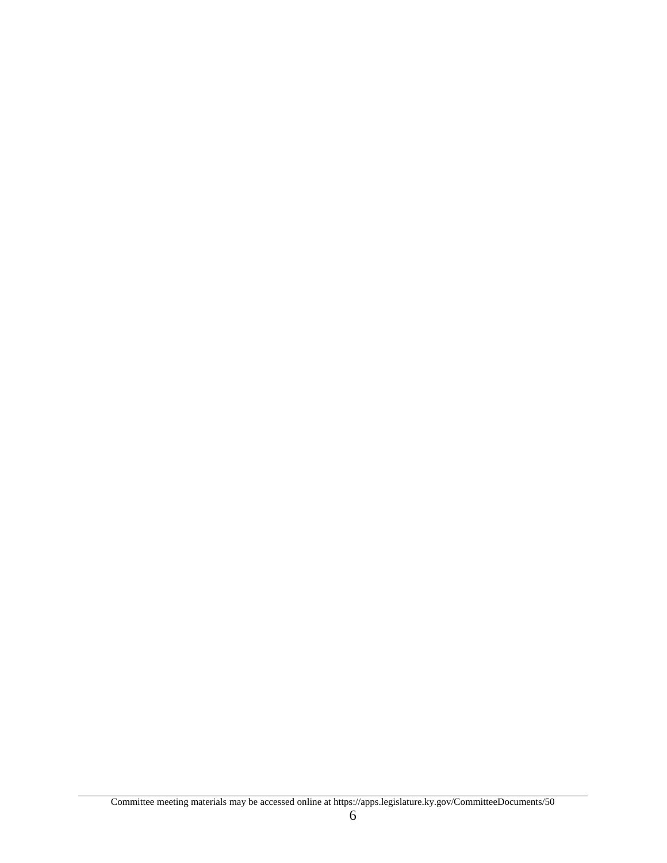Committee meeting materials may be accessed online at https://apps.legislature.ky.gov/CommitteeDocuments/50